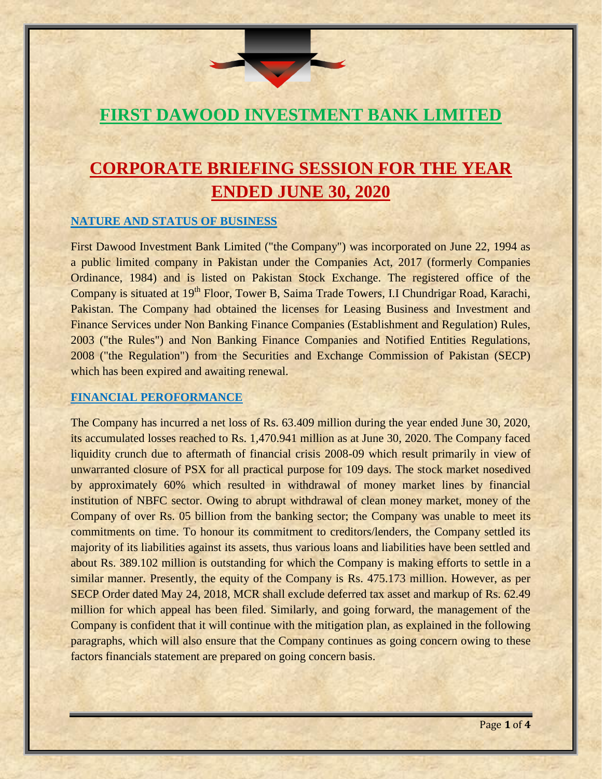# **FIRST DAWOOD INVESTMENT BANK LIMITED**

# **CORPORATE BRIEFING SESSION FOR THE YEAR ENDED JUNE 30, 2020**

## **NATURE AND STATUS OF BUSINESS**

First Dawood Investment Bank Limited ("the Company") was incorporated on June 22, 1994 as a public limited company in Pakistan under the Companies Act, 2017 (formerly Companies Ordinance, 1984) and is listed on Pakistan Stock Exchange. The registered office of the Company is situated at 19<sup>th</sup> Floor, Tower B, Saima Trade Towers, I.I Chundrigar Road, Karachi, Pakistan. The Company had obtained the licenses for Leasing Business and Investment and Finance Services under Non Banking Finance Companies (Establishment and Regulation) Rules, 2003 ("the Rules") and Non Banking Finance Companies and Notified Entities Regulations, 2008 ("the Regulation") from the Securities and Exchange Commission of Pakistan (SECP) which has been expired and awaiting renewal.

## **FINANCIAL PEROFORMANCE**

The Company has incurred a net loss of Rs. 63.409 million during the year ended June 30, 2020, its accumulated losses reached to Rs. 1,470.941 million as at June 30, 2020. The Company faced liquidity crunch due to aftermath of financial crisis 2008-09 which result primarily in view of unwarranted closure of PSX for all practical purpose for 109 days. The stock market nosedived by approximately 60% which resulted in withdrawal of money market lines by financial institution of NBFC sector. Owing to abrupt withdrawal of clean money market, money of the Company of over Rs. 05 billion from the banking sector; the Company was unable to meet its commitments on time. To honour its commitment to creditors/lenders, the Company settled its majority of its liabilities against its assets, thus various loans and liabilities have been settled and about Rs. 389.102 million is outstanding for which the Company is making efforts to settle in a similar manner. Presently, the equity of the Company is Rs. 475.173 million. However, as per SECP Order dated May 24, 2018, MCR shall exclude deferred tax asset and markup of Rs. 62.49 million for which appeal has been filed. Similarly, and going forward, the management of the Company is confident that it will continue with the mitigation plan, as explained in the following paragraphs, which will also ensure that the Company continues as going concern owing to these factors financials statement are prepared on going concern basis.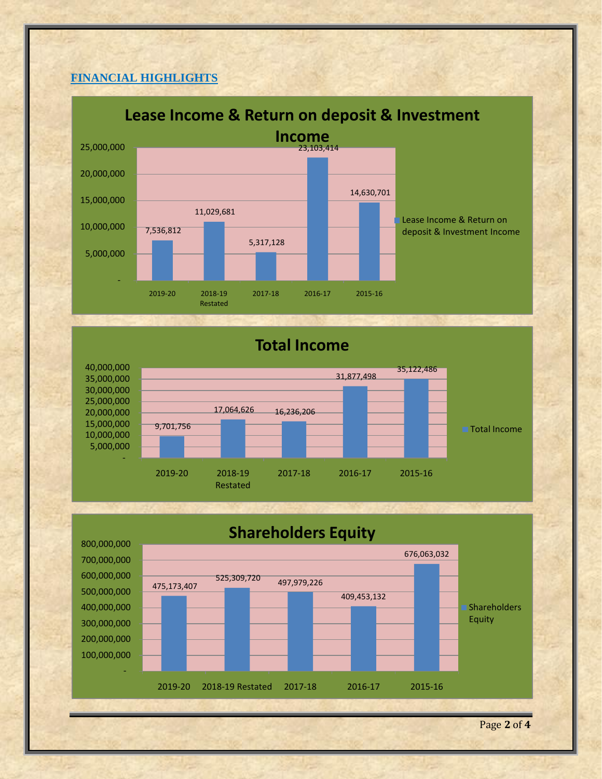# **FINANCIAL HIGHLIGHTS**



# **Total Income**



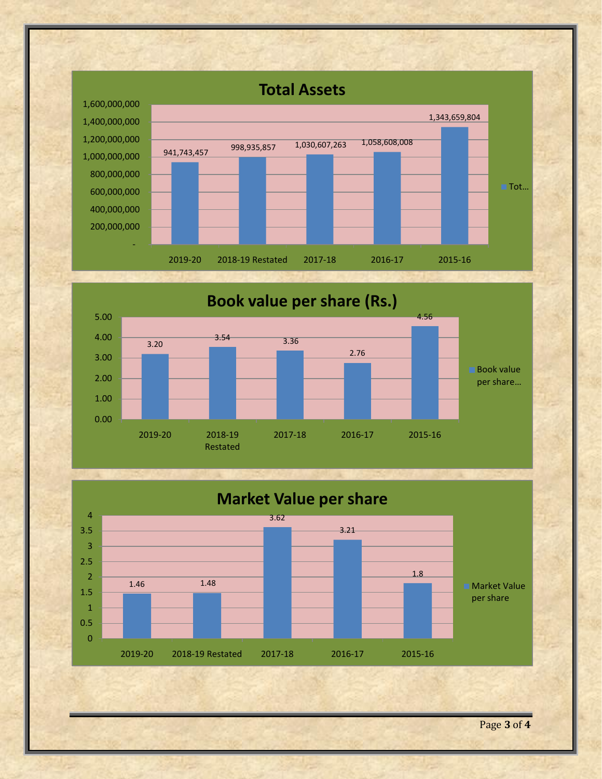





Page **3** of **4**